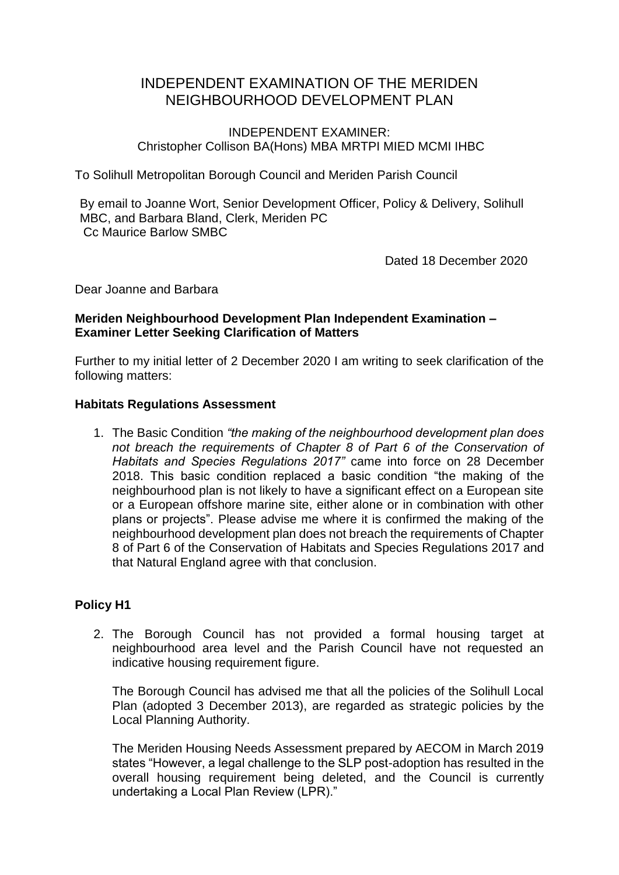# INDEPENDENT EXAMINATION OF THE MERIDEN NEIGHBOURHOOD DEVELOPMENT PLAN

### INDEPENDENT EXAMINER: Christopher Collison BA(Hons) MBA MRTPI MIED MCMI IHBC

To Solihull Metropolitan Borough Council and Meriden Parish Council

By email to Joanne Wort, Senior Development Officer, Policy & Delivery, Solihull MBC, and Barbara Bland, Clerk, Meriden PC Cc Maurice Barlow SMBC

Dated 18 December 2020

Dear Joanne and Barbara

# **Meriden Neighbourhood Development Plan Independent Examination – Examiner Letter Seeking Clarification of Matters**

Further to my initial letter of 2 December 2020 I am writing to seek clarification of the following matters:

#### **Habitats Regulations Assessment**

1. The Basic Condition *"the making of the neighbourhood development plan does not breach the requirements of Chapter 8 of Part 6 of the Conservation of Habitats and Species Regulations 2017"* came into force on 28 December 2018. This basic condition replaced a basic condition "the making of the neighbourhood plan is not likely to have a significant effect on a European site or a European offshore marine site, either alone or in combination with other plans or projects". Please advise me where it is confirmed the making of the neighbourhood development plan does not breach the requirements of Chapter 8 of Part 6 of the Conservation of Habitats and Species Regulations 2017 and that Natural England agree with that conclusion.

# **Policy H1**

2. The Borough Council has not provided a formal housing target at neighbourhood area level and the Parish Council have not requested an indicative housing requirement figure.

The Borough Council has advised me that all the policies of the Solihull Local Plan (adopted 3 December 2013), are regarded as strategic policies by the Local Planning Authority.

The Meriden Housing Needs Assessment prepared by AECOM in March 2019 states "However, a legal challenge to the SLP post-adoption has resulted in the overall housing requirement being deleted, and the Council is currently undertaking a Local Plan Review (LPR)."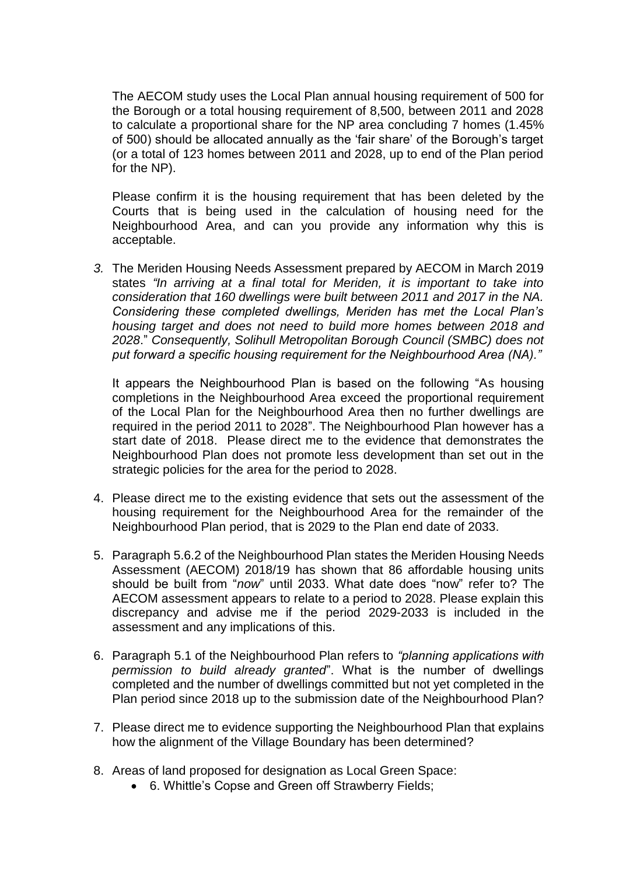The AECOM study uses the Local Plan annual housing requirement of 500 for the Borough or a total housing requirement of 8,500, between 2011 and 2028 to calculate a proportional share for the NP area concluding 7 homes (1.45% of 500) should be allocated annually as the 'fair share' of the Borough's target (or a total of 123 homes between 2011 and 2028, up to end of the Plan period for the NP).

Please confirm it is the housing requirement that has been deleted by the Courts that is being used in the calculation of housing need for the Neighbourhood Area, and can you provide any information why this is acceptable.

*3.* The Meriden Housing Needs Assessment prepared by AECOM in March 2019 states *"In arriving at a final total for Meriden, it is important to take into consideration that 160 dwellings were built between 2011 and 2017 in the NA. Considering these completed dwellings, Meriden has met the Local Plan's housing target and does not need to build more homes between 2018 and 2028*." *Consequently, Solihull Metropolitan Borough Council (SMBC) does not put forward a specific housing requirement for the Neighbourhood Area (NA)."*

It appears the Neighbourhood Plan is based on the following "As housing completions in the Neighbourhood Area exceed the proportional requirement of the Local Plan for the Neighbourhood Area then no further dwellings are required in the period 2011 to 2028". The Neighbourhood Plan however has a start date of 2018. Please direct me to the evidence that demonstrates the Neighbourhood Plan does not promote less development than set out in the strategic policies for the area for the period to 2028.

- 4. Please direct me to the existing evidence that sets out the assessment of the housing requirement for the Neighbourhood Area for the remainder of the Neighbourhood Plan period, that is 2029 to the Plan end date of 2033.
- 5. Paragraph 5.6.2 of the Neighbourhood Plan states the Meriden Housing Needs Assessment (AECOM) 2018/19 has shown that 86 affordable housing units should be built from "*now*" until 2033. What date does "now" refer to? The AECOM assessment appears to relate to a period to 2028. Please explain this discrepancy and advise me if the period 2029-2033 is included in the assessment and any implications of this.
- 6. Paragraph 5.1 of the Neighbourhood Plan refers to *"planning applications with permission to build already granted*". What is the number of dwellings completed and the number of dwellings committed but not yet completed in the Plan period since 2018 up to the submission date of the Neighbourhood Plan?
- 7. Please direct me to evidence supporting the Neighbourhood Plan that explains how the alignment of the Village Boundary has been determined?
- 8. Areas of land proposed for designation as Local Green Space:
	- 6. Whittle's Copse and Green off Strawberry Fields;